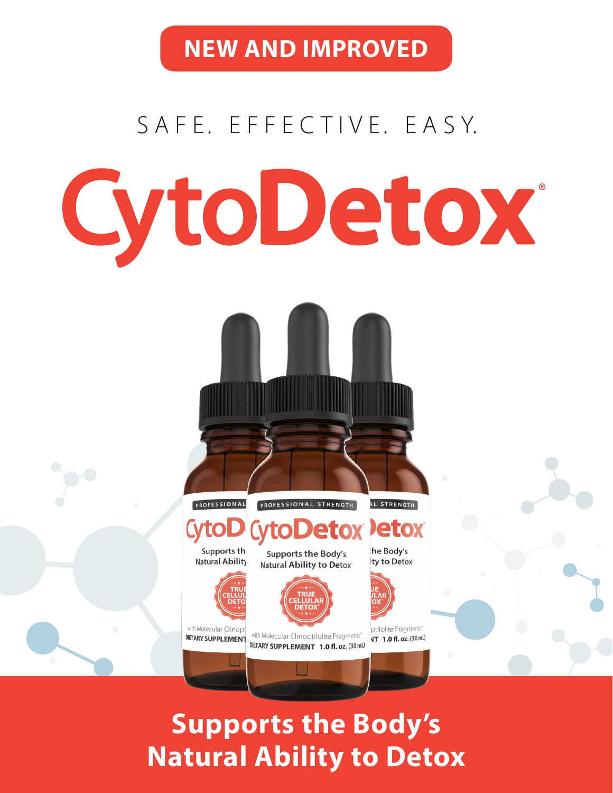**NEW AND IMPROVED**

# S A F E. E F F E C T I V E. E A S Y. **CytoDetox**

**Supports the Body's Natural Ability to Detox**

PROFESSIONAL STRENGTH

Supports the Body's

Natural Ability to Detox\*

with Molecular Clinoptilolite Fragments"

DIETARY SUPPLEMENT 1.0 fl. oz. (30 mL)

PROFESSIONAL

Supports the

**Natural Ability** 

with Molecular Clinopt

DIETARY SUPPLEMENT

**L STRENGTH** 

**Jetox** 

he Body's

ty to Detox®

ptilolite Fragments"

**NT** 1.0 fl. oz. (30 mL)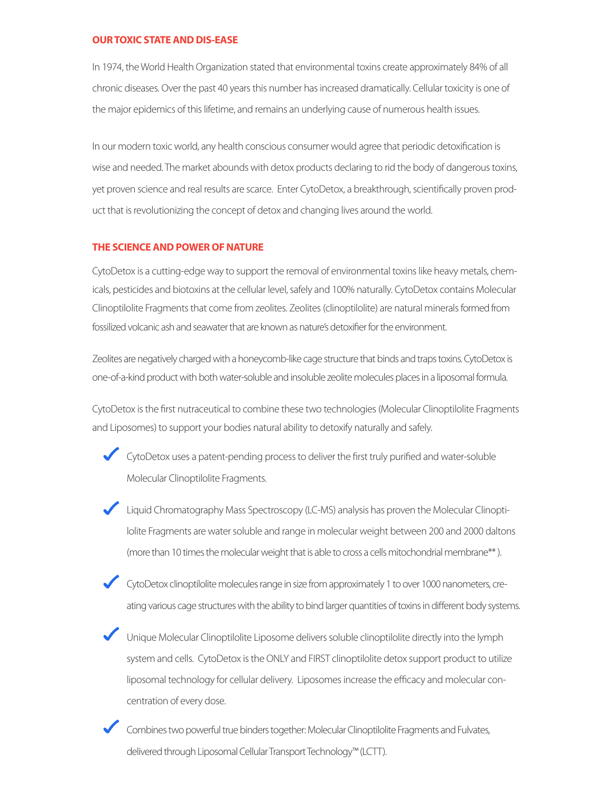#### **OUR TOXIC STATE AND DIS-EASE**

In 1974, the World Health Organization stated that environmental toxins create approximately 84% of all chronic diseases. Over the past 40 years this number has increased dramatically. Cellular toxicity is one of the major epidemics of this lifetime, and remains an underlying cause of numerous health issues.

In our modern toxic world, any health conscious consumer would agree that periodic detoxification is wise and needed. The market abounds with detox products declaring to rid the body of dangerous toxins, yet proven science and real results are scarce. Enter CytoDetox, a breakthrough, scientifically proven product that is revolutionizing the concept of detox and changing lives around the world.

#### **THE SCIENCE AND POWER OF NATURE**

CytoDetox is a cutting-edge way to support the removal of environmental toxins like heavy metals, chemicals, pesticides and biotoxins at the cellular level, safely and 100% naturally. CytoDetox contains Molecular Clinoptilolite Fragments that come from zeolites. Zeolites (clinoptilolite) are natural minerals formed from fossilized volcanic ash and seawater that are known as nature's detoxifier for the environment.

Zeolites are negatively charged with a honeycomb-like cage structure that binds and traps toxins. CytoDetox is one-of-a-kind product with both water-soluble and insoluble zeolite molecules places in a liposomal formula.

CytoDetox is the first nutraceutical to combine these two technologies (Molecular Clinoptilolite Fragments and Liposomes) to support your bodies natural ability to detoxify naturally and safely.

CytoDetox uses a patent-pending process to deliver the first truly purified and water-soluble Molecular Clinoptilolite Fragments.

- Liquid Chromatography Mass Spectroscopy (LC-MS) analysis has proven the Molecular Clinoptilolite Fragments are water soluble and range in molecular weight between 200 and 2000 daltons (more than 10 times the molecular weight that is able to cross a cells mitochondrial membrane\*\* ).
- CytoDetox clinoptilolite molecules range in size from approximately 1 to over 1000 nanometers, creating various cage structures with the ability to bind larger quantities of toxins in different body systems.
- Unique Molecular Clinoptilolite Liposome delivers soluble clinoptilolite directly into the lymph system and cells. CytoDetox is the ONLY and FIRST clinoptilolite detox support product to utilize liposomal technology for cellular delivery. Liposomes increase the efficacy and molecular concentration of every dose.
- Combines two powerful true binders together: Molecular Clinoptilolite Fragments and Fulvates, delivered through Liposomal Cellular Transport Technology™ (LCTT).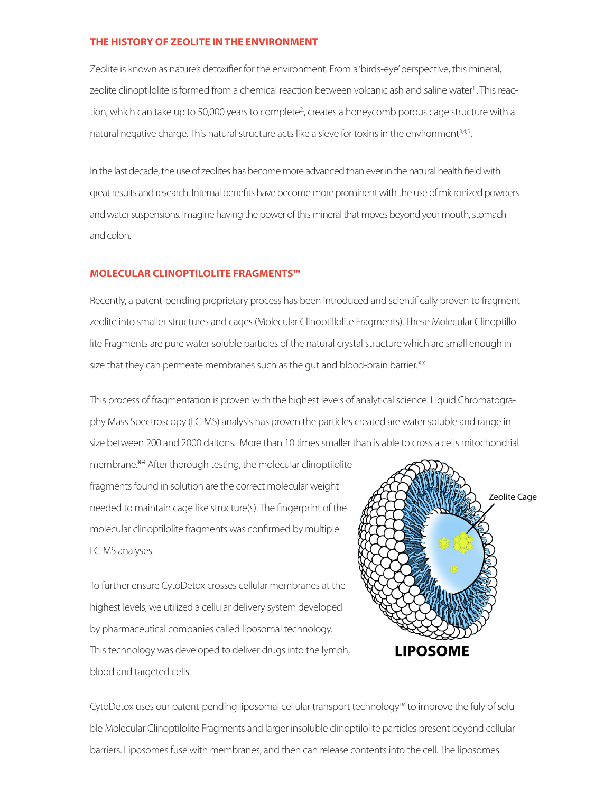#### **THE HISTORY OF ZEOLITE IN THE ENVIRONMENT**

Zeolite is known as nature's detoxifier for the environment. From a 'birds-eye' perspective, this mineral, zeolite clinoptilolite is formed from a chemical reaction between volcanic ash and saline water<sup>1</sup>. This reaction, which can take up to 50,000 years to complete<sup>2</sup>, creates a honeycomb porous cage structure with a natural negative charge. This natural structure acts like a sieve for toxins in the environment<sup>3,4,5</sup>.

In the last decade, the use of zeolites has become more advanced than ever in the natural health field with great results and research. Internal benefits have become more prominent with the use of micronized powders and water suspensions. Imagine having the power of this mineral that moves beyond your mouth, stomach and colon.

#### **MOLECULAR CLINOPTILOLITE FRAGMENTS™**

Recently, a patent-pending proprietary process has been introduced and scientifically proven to fragment zeolite into smaller structures and cages (Molecular Clinoptillolite Fragments). These Molecular Clinoptillolite Fragments are pure water-soluble particles of the natural crystal structure which are small enough in size that they can permeate membranes such as the gut and blood-brain barrier.\*\*

This process of fragmentation is proven with the highest levels of analytical science. Liquid Chromatography Mass Spectroscopy (LC-MS) analysis has proven the particles created are water soluble and range in size between 200 and 2000 daltons. More than 10 times smaller than is able to cross a cells mitochondrial

membrane.\*\* After thorough testing, the molecular clinoptilolite fragments found in solution are the correct molecular weight needed to maintain cage like structure(s). The fingerprint of the molecular clinoptilolite fragments was confirmed by multiple LC-MS analyses.

To further ensure CytoDetox crosses cellular membranes at the highest levels, we utilized a cellular delivery system developed by pharmaceutical companies called liposomal technology. This technology was developed to deliver drugs into the lymph, blood and targeted cells.



CytoDetox uses our patent-pending liposomal cellular transport technology™ to improve the fuly of soluble Molecular Clinoptilolite Fragments and larger insoluble clinoptilolite particles present beyond cellular barriers. Liposomes fuse with membranes, and then can release contents into the cell. The liposomes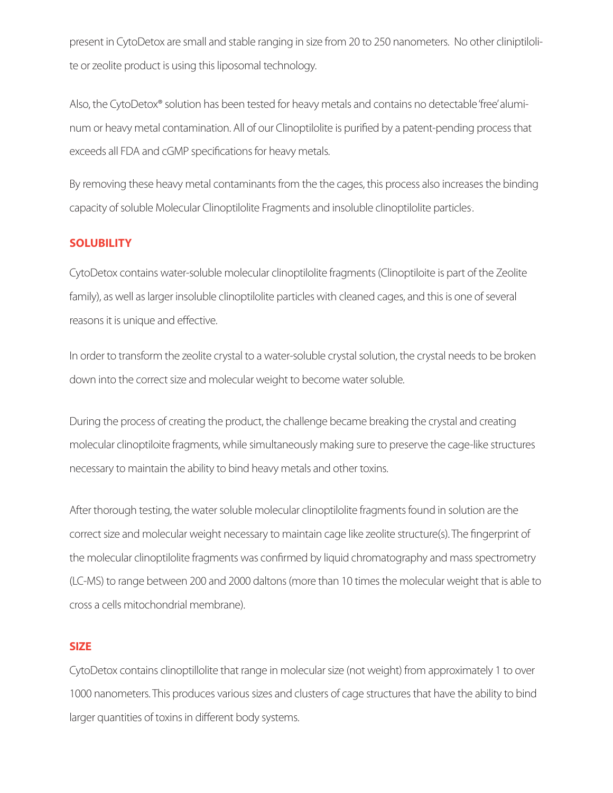present in CytoDetox are small and stable ranging in size from 20 to 250 nanometers. No other cliniptilolite or zeolite product is using this liposomal technology.

Also, the CytoDetox® solution has been tested for heavy metals and contains no detectable 'free' aluminum or heavy metal contamination. All of our Clinoptilolite is purified by a patent-pending process that exceeds all FDA and cGMP specifications for heavy metals.

By removing these heavy metal contaminants from the the cages, this process also increases the binding capacity of soluble Molecular Clinoptilolite Fragments and insoluble clinoptilolite particles. .

#### **SOLUBILITY**

CytoDetox contains water-soluble molecular clinoptilolite fragments (Clinoptiloite is part of the Zeolite family), as well as larger insoluble clinoptilolite particles with cleaned cages, and this is one of several reasons it is unique and effective.

In order to transform the zeolite crystal to a water-soluble crystal solution, the crystal needs to be broken down into the correct size and molecular weight to become water soluble.

During the process of creating the product, the challenge became breaking the crystal and creating molecular clinoptiloite fragments, while simultaneously making sure to preserve the cage-like structures necessary to maintain the ability to bind heavy metals and other toxins.

After thorough testing, the water soluble molecular clinoptilolite fragments found in solution are the correct size and molecular weight necessary to maintain cage like zeolite structure(s). The fingerprint of the molecular clinoptilolite fragments was confirmed by liquid chromatography and mass spectrometry (LC-MS) to range between 200 and 2000 daltons (more than 10 times the molecular weight that is able to cross a cells mitochondrial membrane).

#### **SIZE**

CytoDetox contains clinoptillolite that range in molecular size (not weight) from approximately 1 to over 1000 nanometers. This produces various sizes and clusters of cage structures that have the ability to bind larger quantities of toxins in different body systems.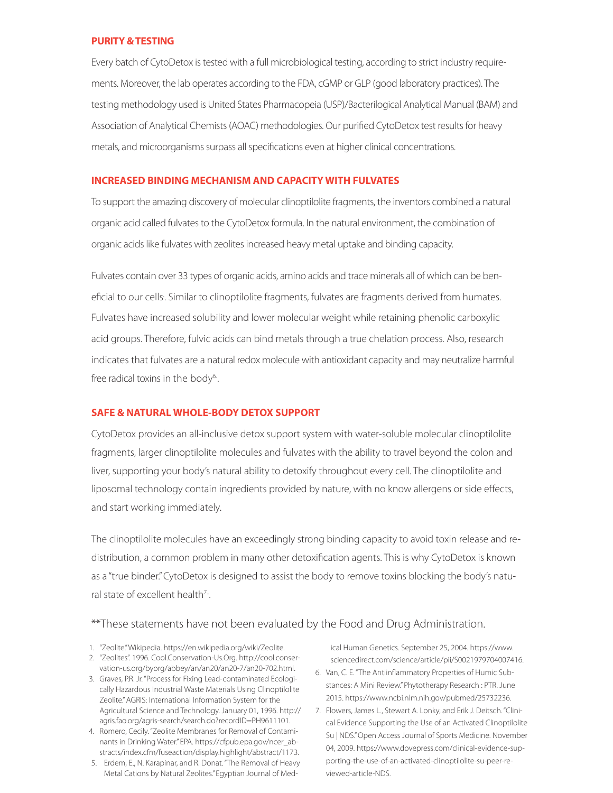#### **PURITY & TESTING**

Every batch of CytoDetox is tested with a full microbiological testing, according to strict industry requirements. Moreover, the lab operates according to the FDA, cGMP or GLP (good laboratory practices). The testing methodology used is United States Pharmacopeia (USP)/Bacterilogical Analytical Manual (BAM) and Association of Analytical Chemists (AOAC) methodologies. Our purified CytoDetox test results for heavy metals, and microorganisms surpass all specifications even at higher clinical concentrations.

#### **INCREASED BINDING MECHANISM AND CAPACITY WITH FULVATES**

To support the amazing discovery of molecular clinoptilolite fragments, the inventors combined a natural organic acid called fulvates to the CytoDetox formula. In the natural environment, the combination of organic acids like fulvates with zeolites increased heavy metal uptake and binding capacity.

Fulvates contain over 33 types of organic acids, amino acids and trace minerals all of which can be beneficial to our cells. . Similar to clinoptilolite fragments, fulvates are fragments derived from humates. Fulvates have increased solubility and lower molecular weight while retaining phenolic carboxylic acid groups. Therefore, fulvic acids can bind metals through a true chelation process. Also, research indicates that fulvates are a natural redox molecule with antioxidant capacity and may neutralize harmful free radical toxins in the body<sup>6</sup>.

#### **SAFE & NATURAL WHOLE-BODY DETOX SUPPORT**

CytoDetox provides an all-inclusive detox support system with water-soluble molecular clinoptilolite fragments, larger clinoptilolite molecules and fulvates with the ability to travel beyond the colon and liver, supporting your body's natural ability to detoxify throughout every cell. The clinoptilolite and liposomal technology contain ingredients provided by nature, with no know allergens or side effects, and start working immediately.

The clinoptilolite molecules have an exceedingly strong binding capacity to avoid toxin release and redistribution, a common problem in many other detoxification agents. This is why CytoDetox is known as a "true binder." CytoDetox is designed to assist the body to remove toxins blocking the body's natural state of excellent health $7$ .

#### \*\*These statements have not been evaluated by the Food and Drug Administration.

- 1. "Zeolite." Wikipedia. https://en.wikipedia.org/wiki/Zeolite.
- 2. "Zeolites". 1996. Cool.Conservation-Us.Org. http://cool.conservation-us.org/byorg/abbey/an/an20/an20-7/an20-702.html.
- 3. Graves, P.R. Jr. "Process for Fixing Lead-contaminated Ecologically Hazardous Industrial Waste Materials Using Clinoptilolite Zeolite." AGRIS: International Information System for the Agricultural Science and Technology. January 01, 1996. http:// agris.fao.org/agris-search/search.do?recordID=PH9611101.
- 4. Romero, Cecily. "Zeolite Membranes for Removal of Contaminants in Drinking Water." EPA. https://cfpub.epa.gov/ncer\_abstracts/index.cfm/fuseaction/display.highlight/abstract/1173.
- 5. Erdem, E., N. Karapinar, and R. Donat. "The Removal of Heavy Metal Cations by Natural Zeolites." Egyptian Journal of Med-

ical Human Genetics. September 25, 2004. https://www. sciencedirect.com/science/article/pii/S0021979704007416.

- 6. Van, C. E. "The Antiinflammatory Properties of Humic Substances: A Mini Review." Phytotherapy Research : PTR. June 2015. https://www.ncbi.nlm.nih.gov/pubmed/25732236.
- 7. Flowers, James L., Stewart A. Lonky, and Erik J. Deitsch. "Clinical Evidence Supporting the Use of an Activated Clinoptilolite Su | NDS." Open Access Journal of Sports Medicine. November 04, 2009. https://www.dovepress.com/clinical-evidence-supporting-the-use-of-an-activated-clinoptilolite-su-peer-reviewed-article-NDS.